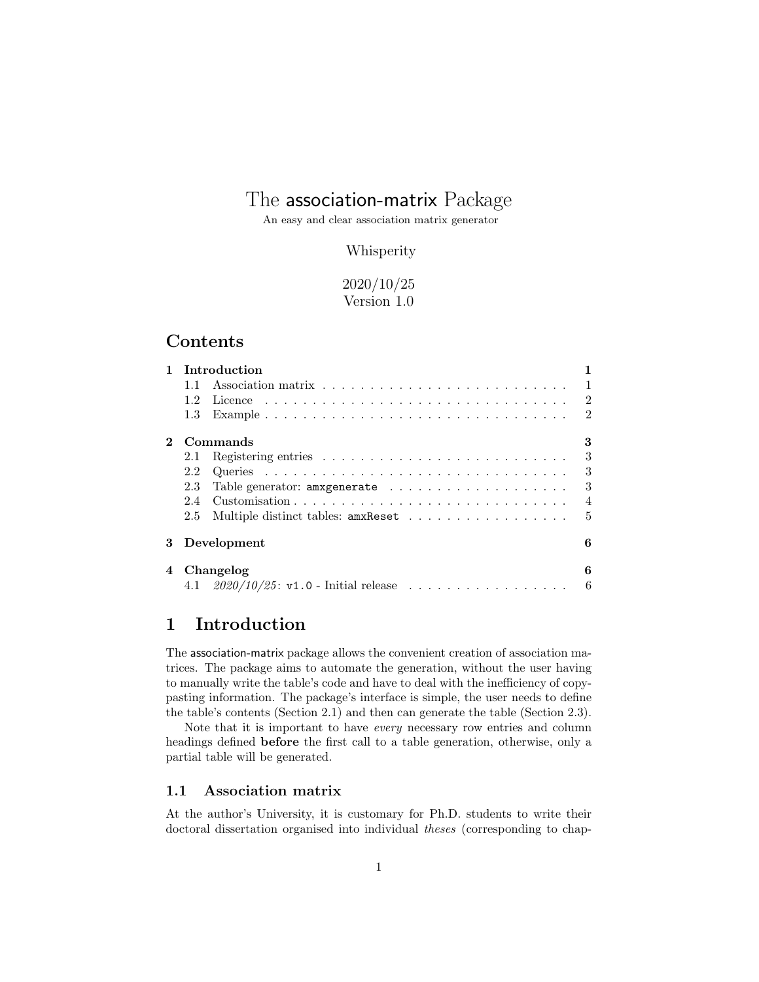# The association-matrix Package

An easy and clear association matrix generator

## Whisperity

## 2020/10/25 Version 1.0

## **Contents**

|              |               | <b>Introduction</b><br>1 |  |
|--------------|---------------|--------------------------|--|
|              | 1.1           |                          |  |
|              | $1.2^{\circ}$ | $\overline{2}$           |  |
|              | 1.3           |                          |  |
| $\mathbf{2}$ |               | 3<br>Commands            |  |
|              | 2.1           | 3                        |  |
|              | 2.2           | - 3                      |  |
|              | 2.3           | 3                        |  |
|              | 2.4           | $\overline{4}$           |  |
|              | 2.5           | 5                        |  |
| 3            |               | Development<br>6         |  |
|              |               | 6<br>4 Changelog         |  |
|              |               |                          |  |

## <span id="page-0-0"></span>1 Introduction

The association-matrix package allows the convenient creation of association matrices. The package aims to automate the generation, without the user having to manually write the table's code and have to deal with the inefficiency of copypasting information. The package's interface is simple, the user needs to define the table's contents (Section [2.1\)](#page-2-1) and then can generate the table (Section [2.3\)](#page-2-3).

Note that it is important to have every necessary row entries and column headings defined before the first call to a table generation, otherwise, only a partial table will be generated.

## <span id="page-0-1"></span>1.1 Association matrix

At the author's University, it is customary for Ph.D. students to write their doctoral dissertation organised into individual theses (corresponding to chap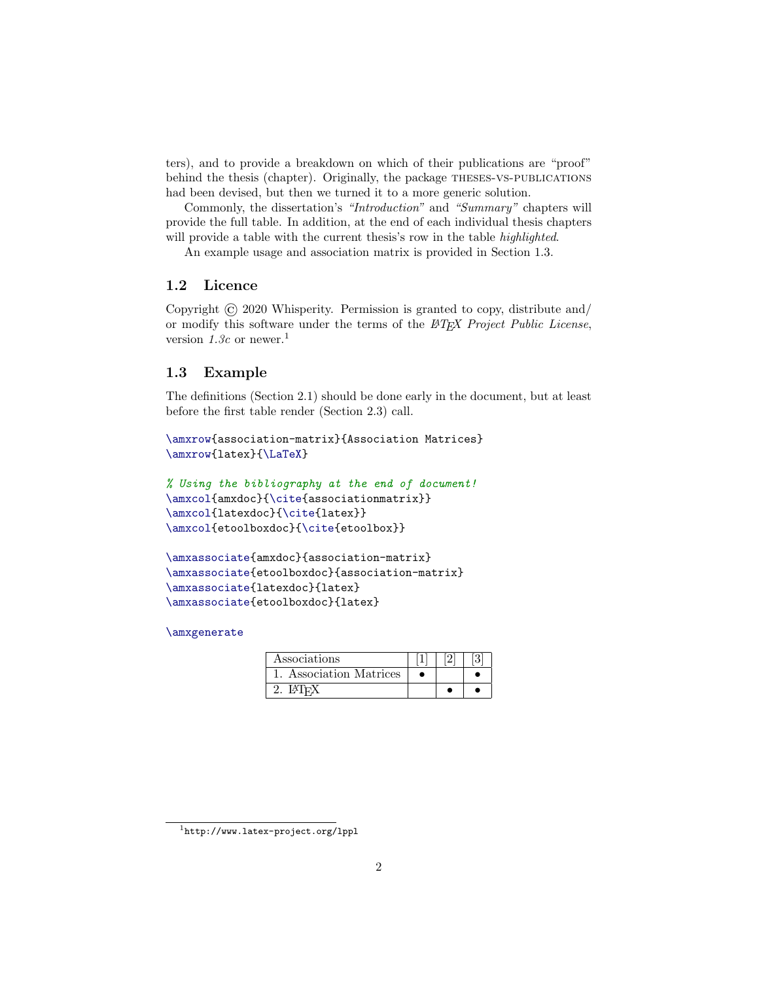ters), and to provide a breakdown on which of their publications are "proof" behind the thesis (chapter). Originally, the package THESES-VS-PUBLICATIONS had been devised, but then we turned it to a more generic solution.

Commonly, the dissertation's "Introduction" and "Summary" chapters will provide the full table. In addition, at the end of each individual thesis chapters will provide a table with the current thesis's row in the table *highlighted*.

An example usage and association matrix is provided in Section [1.3.](#page-1-1)

### <span id="page-1-0"></span>1.2 Licence

Copyright © 2020 Whisperity. Permission is granted to copy, distribute and/ or modify this software under the terms of the  $BT$ <sub>F</sub> $X$  Project Public License, version [1](#page-1-2).3c or newer.<sup>1</sup>

### <span id="page-1-1"></span>1.3 Example

The definitions (Section [2.1\)](#page-2-1) should be done early in the document, but at least before the first table render (Section [2.3\)](#page-2-3) call.

```
\amxrow{association-matrix}{Association Matrices}
\amxrow{latex}{\LaTeX}
```

```
% Using the bibliography at the end of document!
\amxcol{amxdoc}{\cite{associationmatrix}}
\amxcol{latexdoc}{\cite{latex}}
\amxcol{etoolboxdoc}{\cite{etoolbox}}
```

```
\amxassociate{amxdoc}{association-matrix}
\amxassociate{etoolboxdoc}{association-matrix}
\amxassociate{latexdoc}{latex}
\amxassociate{etoolboxdoc}{latex}
```
\amxgenerate

| Associations            |  |  |
|-------------------------|--|--|
| Association Matrices    |  |  |
| $2.$ IAT <sub>E</sub> X |  |  |

<span id="page-1-2"></span><sup>1</sup><http://www.latex-project.org/lppl>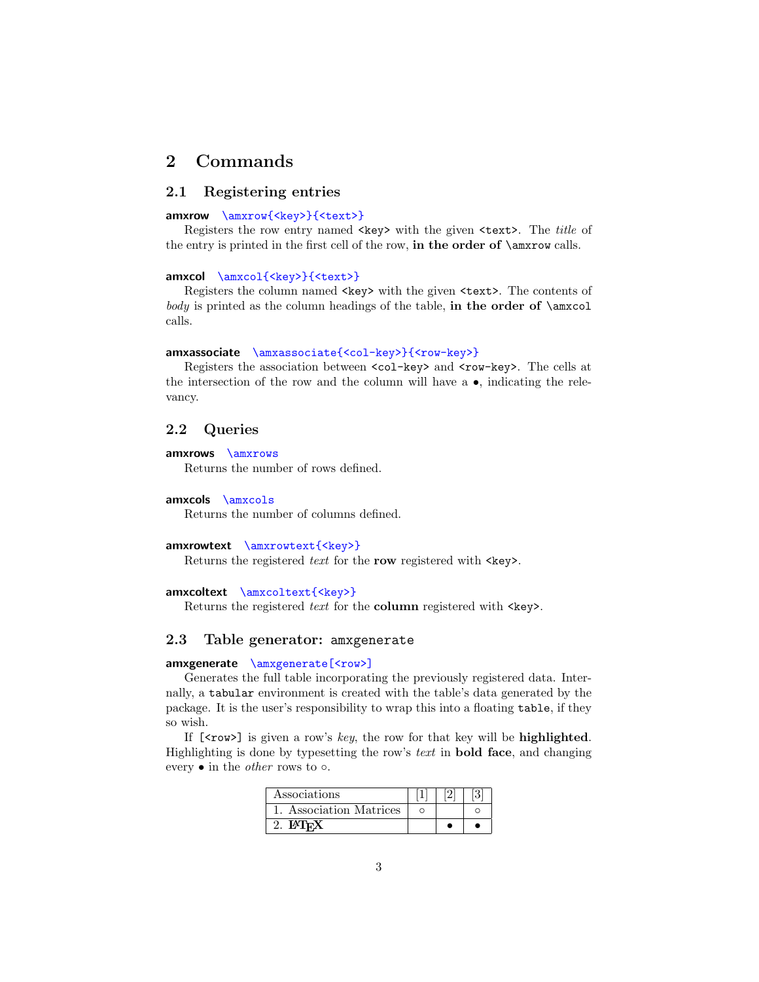## <span id="page-2-0"></span>2 Commands

## <span id="page-2-1"></span>2.1 Registering entries

#### amxrow \amxrow{<key>}{<text>}

Registers the row entry named  $\langle \text{key} \rangle$  with the given  $\langle \text{text} \rangle$ . The title of the entry is printed in the first cell of the row, in the order of \amxrow calls.

#### amxcol \amxcol{<key>}{<text>}

Registers the column named <key> with the given <text>. The contents of body is printed as the column headings of the table, in the order of  $\amalg$   $\Box$ calls.

#### amxassociate \amxassociate{<col-key>}{<row-key>}

Registers the association between <col-key> and <row-key>. The cells at the intersection of the row and the column will have a  $\bullet$ , indicating the relevancy.

## <span id="page-2-2"></span>2.2 Queries

#### amxrows \amxrows

Returns the number of rows defined.

#### amxcols \amxcols

Returns the number of columns defined.

#### amxrowtext \amxrowtext{<key>}

Returns the registered text for the row registered with  $\langle key \rangle$ .

#### amxcoltext \amxcoltext{<key>}

Returns the registered text for the column registered with <key>.

### <span id="page-2-3"></span>2.3 Table generator: amxgenerate

#### amxgenerate \amxgenerate[<row>]

Generates the full table incorporating the previously registered data. Internally, a tabular environment is created with the table's data generated by the package. It is the user's responsibility to wrap this into a floating table, if they so wish.

If  $[\langle \text{row}\rangle]$  is given a row's key, the row for that key will be **highlighted**. Highlighting is done by typesetting the row's text in bold face, and changing every  $\bullet$  in the *other* rows to  $\circ$ .

| Associations               |  |  |
|----------------------------|--|--|
| 1. Association Matrices    |  |  |
| 2. $\text{MT}_{\text{F}}X$ |  |  |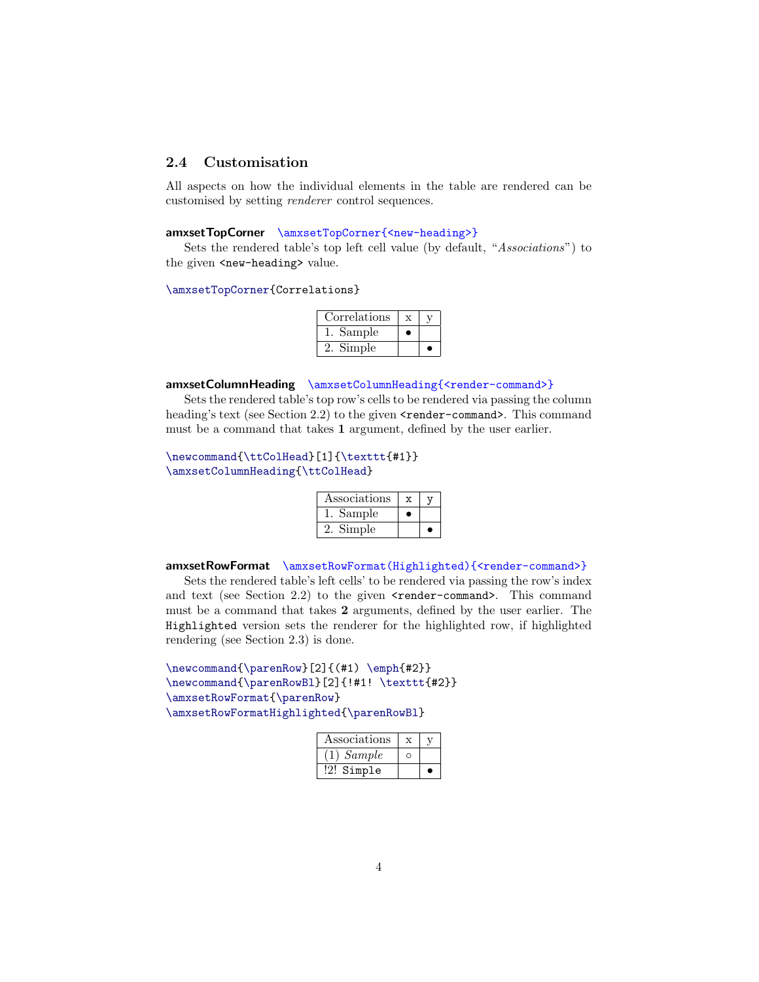## <span id="page-3-0"></span>2.4 Customisation

All aspects on how the individual elements in the table are rendered can be customised by setting renderer control sequences.

#### amxsetTopCorner \amxsetTopCorner{<new-heading>}

Sets the rendered table's top left cell value (by default, "Associations") to the given <new-heading> value.

#### \amxsetTopCorner{Correlations}

| Correlations |   |  |
|--------------|---|--|
| 1. Sample    | ٠ |  |
| 2. Simple    |   |  |

#### amxsetColumnHeading \amxsetColumnHeading{<render-command>}

Sets the rendered table's top row's cells to be rendered via passing the column heading's text (see Section [2.2\)](#page-2-2) to the given **<render-command>**. This command must be a command that takes 1 argument, defined by the user earlier.

### \newcommand{\ttColHead}[1]{\texttt{#1}} \amxsetColumnHeading{\ttColHead}

| Associations |  |
|--------------|--|
| Sample       |  |
| Simple       |  |

#### amxsetRowFormat \amxsetRowFormat(Highlighted){<render-command>}

Sets the rendered table's left cells' to be rendered via passing the row's index and text (see Section [2.2\)](#page-2-2) to the given **<render-command>**. This command must be a command that takes 2 arguments, defined by the user earlier. The Highlighted version sets the renderer for the highlighted row, if highlighted rendering (see Section [2.3\)](#page-2-3) is done.

```
\newcommand{\parenRow}[2]{(#1) \emph{#2}}
\newcommand{\parenRowBl}[2]{!#1! \texttt{#2}}
\amxsetRowFormat{\parenRow}
\amxsetRowFormatHighlighted{\parenRowBl}
```

| Associations |  |
|--------------|--|
| $(1)$ Sample |  |
| !2! Simple   |  |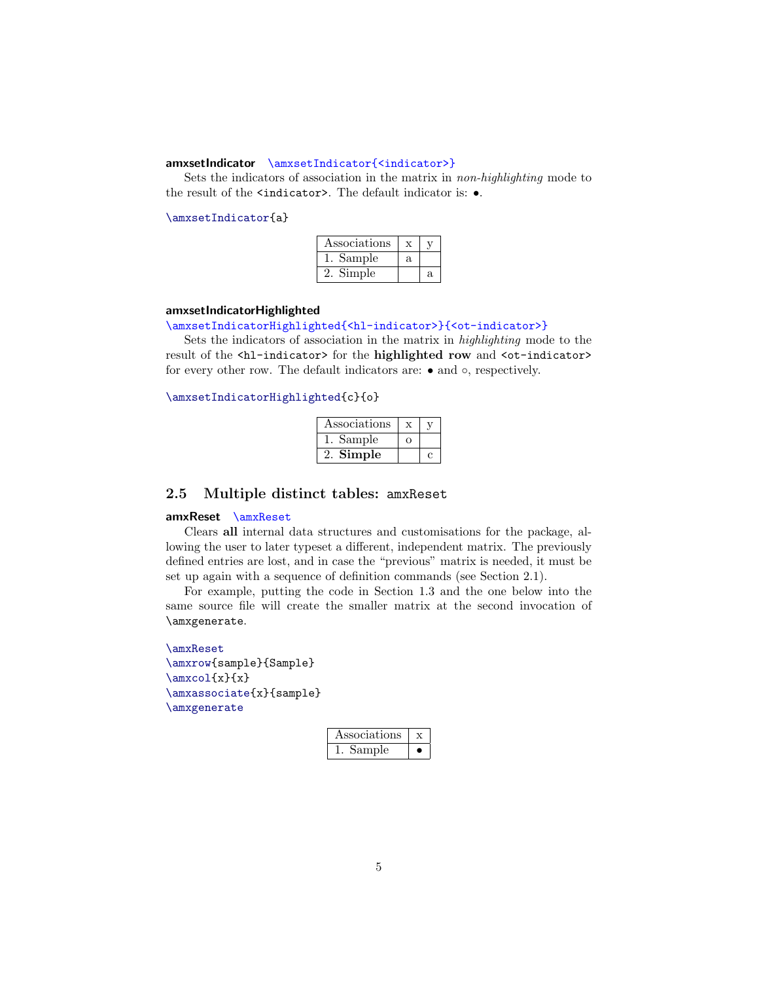### amxsetIndicator \amxsetIndicator{<indicator>}

Sets the indicators of association in the matrix in non-highlighting mode to the result of the  $\langle$ indicator>. The default indicator is:  $\bullet$ .

\amxsetIndicator{a}

| Associations |    |    |
|--------------|----|----|
| 1. Sample    | a. |    |
| 2. Simple    |    | a. |

#### amxsetIndicatorHighlighted

\amxsetIndicatorHighlighted{<hl-indicator>}{<ot-indicator>}

Sets the indicators of association in the matrix in highlighting mode to the result of the <hl-indicator> for the highlighted row and <ot-indicator> for every other row. The default indicators are: • and ◦, respectively.

\amxsetIndicatorHighlighted{c}{o}

| Associations |   |  |
|--------------|---|--|
| Sample       | Ω |  |
| Simple       |   |  |

### <span id="page-4-0"></span>2.5 Multiple distinct tables: amxReset

### amxReset \amxReset

Clears all internal data structures and customisations for the package, allowing the user to later typeset a different, independent matrix. The previously defined entries are lost, and in case the "previous" matrix is needed, it must be set up again with a sequence of definition commands (see Section [2.1\)](#page-2-1).

For example, putting the code in Section [1.3](#page-1-1) and the one below into the same source file will create the smaller matrix at the second invocation of \amxgenerate.

```
\amxReset
\amxrow{sample}{Sample}
\maxcol{x}{x}\amxassociate{x}{sample}
\amxgenerate
```

| Associations |  |
|--------------|--|
| Sample       |  |